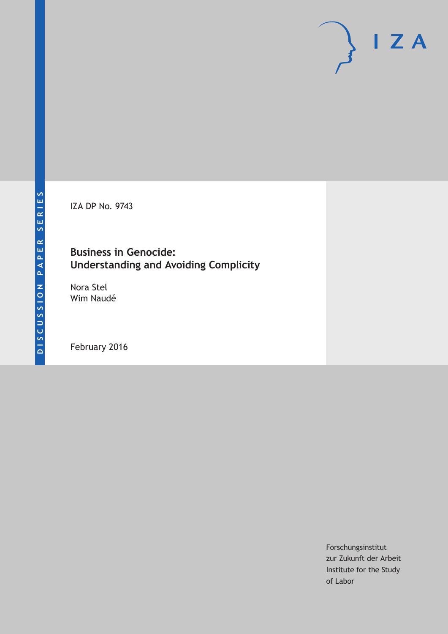IZA DP No. 9743

# **Business in Genocide: Understanding and Avoiding Complicity**

Nora Stel Wim Naudé

February 2016

Forschungsinstitut zur Zukunft der Arbeit Institute for the Study of Labor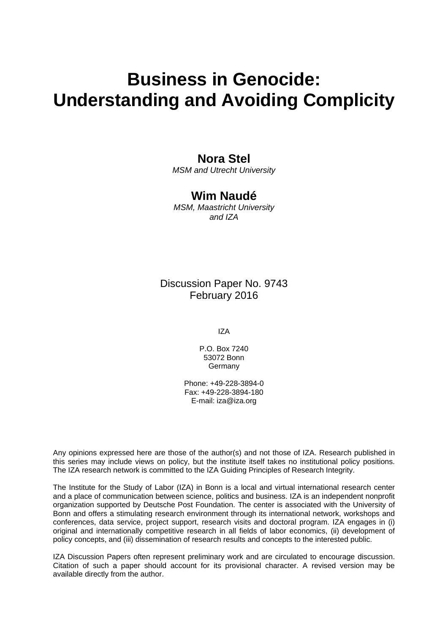# **Business in Genocide: Understanding and Avoiding Complicity**

### **Nora Stel**

*MSM and Utrecht University* 

### **Wim Naudé**

*MSM, Maastricht University and IZA* 

### Discussion Paper No. 9743 February 2016

IZA

P.O. Box 7240 53072 Bonn **Germany** 

Phone: +49-228-3894-0 Fax: +49-228-3894-180 E-mail: iza@iza.org

Any opinions expressed here are those of the author(s) and not those of IZA. Research published in this series may include views on policy, but the institute itself takes no institutional policy positions. The IZA research network is committed to the IZA Guiding Principles of Research Integrity.

The Institute for the Study of Labor (IZA) in Bonn is a local and virtual international research center and a place of communication between science, politics and business. IZA is an independent nonprofit organization supported by Deutsche Post Foundation. The center is associated with the University of Bonn and offers a stimulating research environment through its international network, workshops and conferences, data service, project support, research visits and doctoral program. IZA engages in (i) original and internationally competitive research in all fields of labor economics, (ii) development of policy concepts, and (iii) dissemination of research results and concepts to the interested public.

IZA Discussion Papers often represent preliminary work and are circulated to encourage discussion. Citation of such a paper should account for its provisional character. A revised version may be available directly from the author.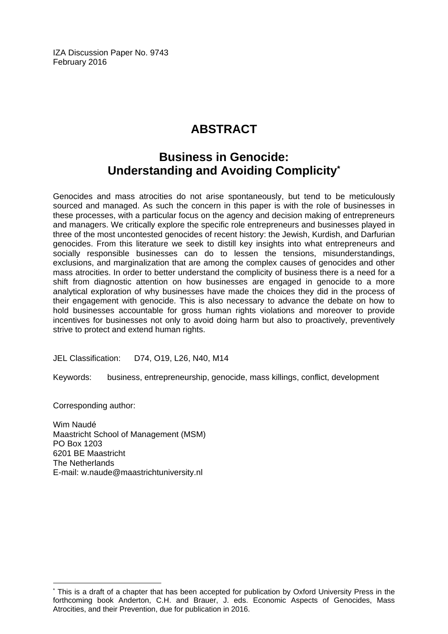IZA Discussion Paper No. 9743 February 2016

# **ABSTRACT**

# **Business in Genocide: Understanding and Avoiding Complicity\***

Genocides and mass atrocities do not arise spontaneously, but tend to be meticulously sourced and managed. As such the concern in this paper is with the role of businesses in these processes, with a particular focus on the agency and decision making of entrepreneurs and managers. We critically explore the specific role entrepreneurs and businesses played in three of the most uncontested genocides of recent history: the Jewish, Kurdish, and Darfurian genocides. From this literature we seek to distill key insights into what entrepreneurs and socially responsible businesses can do to lessen the tensions, misunderstandings, exclusions, and marginalization that are among the complex causes of genocides and other mass atrocities. In order to better understand the complicity of business there is a need for a shift from diagnostic attention on how businesses are engaged in genocide to a more analytical exploration of why businesses have made the choices they did in the process of their engagement with genocide. This is also necessary to advance the debate on how to hold businesses accountable for gross human rights violations and moreover to provide incentives for businesses not only to avoid doing harm but also to proactively, preventively strive to protect and extend human rights.

JEL Classification: D74, O19, L26, N40, M14

Keywords: business, entrepreneurship, genocide, mass killings, conflict, development

Corresponding author:

 $\overline{\phantom{a}}$ 

Wim Naudé Maastricht School of Management (MSM) PO Box 1203 6201 BE Maastricht The Netherlands E-mail: w.naude@maastrichtuniversity.nl

<sup>\*</sup> This is a draft of a chapter that has been accepted for publication by Oxford University Press in the forthcoming book Anderton, C.H. and Brauer, J. eds. Economic Aspects of Genocides, Mass Atrocities, and their Prevention, due for publication in 2016.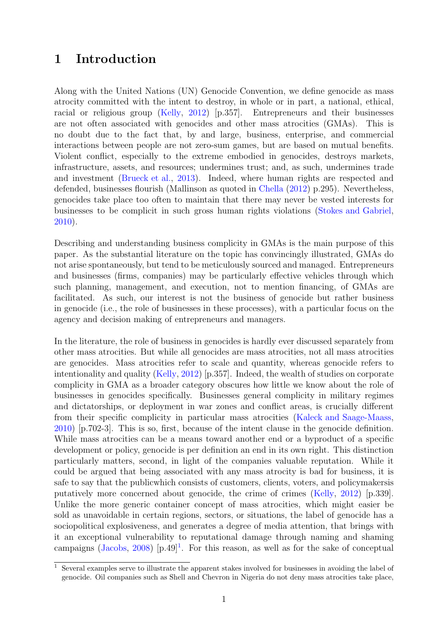# 1 Introduction

Along with the United Nations (UN) Genocide Convention, we define genocide as mass atrocity committed with the intent to destroy, in whole or in part, a national, ethical, racial or religious group [\(Kelly,](#page-20-0) [2012\)](#page-20-0) [p.357]. Entrepreneurs and their businesses are not often associated with genocides and other mass atrocities (GMAs). This is no doubt due to the fact that, by and large, business, enterprise, and commercial interactions between people are not zero-sum games, but are based on mutual benefits. Violent conflict, especially to the extreme embodied in genocides, destroys markets, infrastructure, assets, and resources; undermines trust; and, as such, undermines trade and investment [\(Brueck et al.,](#page-19-0) [2013\)](#page-19-0). Indeed, where human rights are respected and defended, businesses flourish (Mallinson as quoted in [Chella](#page-19-1) [\(2012\)](#page-19-1) p.295). Nevertheless, genocides take place too often to maintain that there may never be vested interests for businesses to be complicit in such gross human rights violations [\(Stokes and Gabriel,](#page-21-0) [2010\)](#page-21-0).

Describing and understanding business complicity in GMAs is the main purpose of this paper. As the substantial literature on the topic has convincingly illustrated, GMAs do not arise spontaneously, but tend to be meticulously sourced and managed. Entrepreneurs and businesses (firms, companies) may be particularly effective vehicles through which such planning, management, and execution, not to mention financing, of GMAs are facilitated. As such, our interest is not the business of genocide but rather business in genocide (i.e., the role of businesses in these processes), with a particular focus on the agency and decision making of entrepreneurs and managers.

In the literature, the role of business in genocides is hardly ever discussed separately from other mass atrocities. But while all genocides are mass atrocities, not all mass atrocities are genocides. Mass atrocities refer to scale and quantity, whereas genocide refers to intentionality and quality [\(Kelly,](#page-20-0) [2012\)](#page-20-0) [p.357]. Indeed, the wealth of studies on corporate complicity in GMA as a broader category obscures how little we know about the role of businesses in genocides specifically. Businesses general complicity in military regimes and dictatorships, or deployment in war zones and conflict areas, is crucially different from their specific complicity in particular mass atrocities [\(Kaleck and Saage-Maass,](#page-20-1) [2010\)](#page-20-1) [p.702-3]. This is so, first, because of the intent clause in the genocide definition. While mass atrocities can be a means toward another end or a byproduct of a specific development or policy, genocide is per definition an end in its own right. This distinction particularly matters, second, in light of the companies valuable reputation. While it could be argued that being associated with any mass atrocity is bad for business, it is safe to say that the publicwhich consists of customers, clients, voters, and policymakersis putatively more concerned about genocide, the crime of crimes [\(Kelly,](#page-20-0) [2012\)](#page-20-0) [p.339]. Unlike the more generic container concept of mass atrocities, which might easier be sold as unavoidable in certain regions, sectors, or situations, the label of genocide has a sociopolitical explosiveness, and generates a degree of media attention, that brings with it an exceptional vulnerability to reputational damage through naming and shaming campaigns [\(Jacobs,](#page-19-2) [2008\)](#page-19-2)  $[p.49]$ <sup>[1](#page-3-0)</sup>. For this reason, as well as for the sake of conceptual

<span id="page-3-0"></span><sup>1</sup> Several examples serve to illustrate the apparent stakes involved for businesses in avoiding the label of genocide. Oil companies such as Shell and Chevron in Nigeria do not deny mass atrocities take place,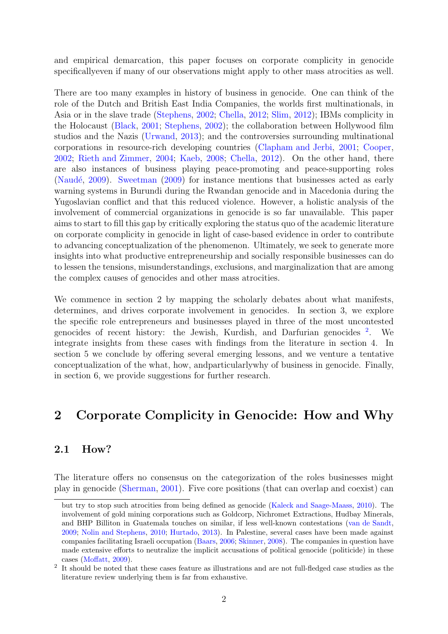and empirical demarcation, this paper focuses on corporate complicity in genocide specificallyeven if many of our observations might apply to other mass atrocities as well.

There are too many examples in history of business in genocide. One can think of the role of the Dutch and British East India Companies, the worlds first multinationals, in Asia or in the slave trade [\(Stephens,](#page-21-1) [2002;](#page-21-1) [Chella,](#page-19-1) [2012;](#page-19-1) [Slim,](#page-21-2) [2012\)](#page-21-2); IBMs complicity in the Holocaust [\(Black,](#page-18-0) [2001;](#page-18-0) [Stephens,](#page-21-1) [2002\)](#page-21-1); the collaboration between Hollywood film studios and the Nazis [\(Urwand,](#page-21-3) [2013\)](#page-21-3); and the controversies surrounding multinational corporations in resource-rich developing countries [\(Clapham and Jerbi,](#page-19-3) [2001;](#page-19-3) [Cooper,](#page-19-4) [2002;](#page-19-4) [Rieth and Zimmer,](#page-21-4) [2004;](#page-21-4) [Kaeb,](#page-20-2) [2008;](#page-20-2) [Chella,](#page-19-1) [2012\)](#page-19-1). On the other hand, there are also instances of business playing peace-promoting and peace-supporting roles (Naudé, [2009\)](#page-20-3). [Sweetman](#page-21-5)  $(2009)$  for instance mentions that businesses acted as early warning systems in Burundi during the Rwandan genocide and in Macedonia during the Yugoslavian conflict and that this reduced violence. However, a holistic analysis of the involvement of commercial organizations in genocide is so far unavailable. This paper aims to start to fill this gap by critically exploring the status quo of the academic literature on corporate complicity in genocide in light of case-based evidence in order to contribute to advancing conceptualization of the phenomenon. Ultimately, we seek to generate more insights into what productive entrepreneurship and socially responsible businesses can do to lessen the tensions, misunderstandings, exclusions, and marginalization that are among the complex causes of genocides and other mass atrocities.

We commence in section 2 by mapping the scholarly debates about what manifests, determines, and drives corporate involvement in genocides. In section 3, we explore the specific role entrepreneurs and businesses played in three of the most uncontested genocides of recent history: the Jewish, Kurdish, and Darfurian genocides <sup>[2](#page-4-0)</sup>. We integrate insights from these cases with findings from the literature in section 4. In section 5 we conclude by offering several emerging lessons, and we venture a tentative conceptualization of the what, how, andparticularlywhy of business in genocide. Finally, in section 6, we provide suggestions for further research.

# 2 Corporate Complicity in Genocide: How and Why

#### 2.1 How?

The literature offers no consensus on the categorization of the roles businesses might play in genocide [\(Sherman,](#page-21-6) [2001\)](#page-21-6). Five core positions (that can overlap and coexist) can

but try to stop such atrocities from being defined as genocide [\(Kaleck and Saage-Maass,](#page-20-1) [2010\)](#page-20-1). The involvement of gold mining corporations such as Goldcorp, Nichromet Extractions, Hudbay Minerals, and BHP Billiton in Guatemala touches on similar, if less well-known contestations [\(van de Sandt,](#page-22-0) [2009;](#page-22-0) [Nolin and Stephens,](#page-20-4) [2010;](#page-20-4) [Hurtado,](#page-19-5) [2013\)](#page-19-5). In Palestine, several cases have been made against companies facilitating Israeli occupation [\(Baars,](#page-18-1) [2006;](#page-18-1) [Skinner,](#page-21-7) [2008\)](#page-21-7). The companies in question have made extensive efforts to neutralize the implicit accusations of political genocide (politicide) in these cases [\(Moffatt,](#page-20-5) [2009\)](#page-20-5).

<span id="page-4-0"></span><sup>&</sup>lt;sup>2</sup> It should be noted that these cases feature as illustrations and are not full-fledged case studies as the literature review underlying them is far from exhaustive.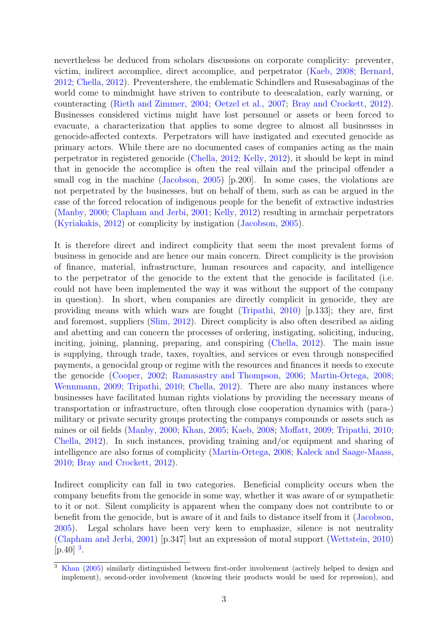nevertheless be deduced from scholars discussions on corporate complicity: preventer, victim, indirect accomplice, direct accomplice, and perpetrator [\(Kaeb,](#page-20-2) [2008;](#page-20-2) [Bernard,](#page-18-2) [2012;](#page-18-2) [Chella,](#page-19-1) [2012\)](#page-19-1). Preventershere, the emblematic Schindlers and Rusesabaginas of the world come to mindmight have striven to contribute to deescalation, early warning, or counteracting [\(Rieth and Zimmer,](#page-21-4) [2004;](#page-21-4) [Oetzel et al.,](#page-20-6) [2007;](#page-20-6) [Bray and Crockett,](#page-18-3) [2012\)](#page-18-3). Businesses considered victims might have lost personnel or assets or been forced to evacuate, a characterization that applies to some degree to almost all businesses in genocide-affected contexts. Perpetrators will have instigated and executed genocide as primary actors. While there are no documented cases of companies acting as the main perpetrator in registered genocide [\(Chella,](#page-19-1) [2012;](#page-19-1) [Kelly,](#page-20-0) [2012\)](#page-20-0), it should be kept in mind that in genocide the accomplice is often the real villain and the principal offender a small cog in the machine [\(Jacobson,](#page-19-6) [2005\)](#page-19-6) [p.200]. In some cases, the violations are not perpetrated by the businesses, but on behalf of them, such as can be argued in the case of the forced relocation of indigenous people for the benefit of extractive industries [\(Manby,](#page-20-7) [2000;](#page-20-7) [Clapham and Jerbi,](#page-19-3) [2001;](#page-19-3) [Kelly,](#page-20-0) [2012\)](#page-20-0) resulting in armchair perpetrators [\(Kyriakakis,](#page-20-8) [2012\)](#page-20-8) or complicity by instigation [\(Jacobson,](#page-19-6) [2005\)](#page-19-6).

It is therefore direct and indirect complicity that seem the most prevalent forms of business in genocide and are hence our main concern. Direct complicity is the provision of finance, material, infrastructure, human resources and capacity, and intelligence to the perpetrator of the genocide to the extent that the genocide is facilitated (i.e. could not have been implemented the way it was without the support of the company in question). In short, when companies are directly complicit in genocide, they are providing means with which wars are fought [\(Tripathi,](#page-21-8) [2010\)](#page-21-8) [p.133]; they are, first and foremost, suppliers [\(Slim,](#page-21-2) [2012\)](#page-21-2). Direct complicity is also often described as aiding and abetting and can concern the processes of ordering, instigating, soliciting, inducing, inciting, joining, planning, preparing, and conspiring [\(Chella,](#page-19-1) [2012\)](#page-19-1). The main issue is supplying, through trade, taxes, royalties, and services or even through nonspecified payments, a genocidal group or regime with the resources and finances it needs to execute the genocide [\(Cooper,](#page-19-4) [2002;](#page-19-4) [Ramasastry and Thompson,](#page-21-9) [2006;](#page-21-9) [Martin-Ortega,](#page-20-9) [2008;](#page-20-9) [Wennmann,](#page-22-1) [2009;](#page-22-1) [Tripathi,](#page-21-8) [2010;](#page-21-8) [Chella,](#page-19-1) [2012\)](#page-19-1). There are also many instances where businesses have facilitated human rights violations by providing the necessary means of transportation or infrastructure, often through close cooperation dynamics with (para-) military or private security groups protecting the companys compounds or assets such as mines or oil fields [\(Manby,](#page-20-7) [2000;](#page-20-7) [Khan,](#page-20-10) [2005;](#page-20-10) [Kaeb,](#page-20-2) [2008;](#page-20-2) [Moffatt,](#page-20-5) [2009;](#page-20-5) [Tripathi,](#page-21-8) [2010;](#page-21-8) [Chella,](#page-19-1) [2012\)](#page-19-1). In such instances, providing training and/or equipment and sharing of intelligence are also forms of complicity [\(Martin-Ortega,](#page-20-9) [2008;](#page-20-9) [Kaleck and Saage-Maass,](#page-20-1) [2010;](#page-20-1) [Bray and Crockett,](#page-18-3) [2012\)](#page-18-3).

Indirect complicity can fall in two categories. Beneficial complicity occurs when the company benefits from the genocide in some way, whether it was aware of or sympathetic to it or not. Silent complicity is apparent when the company does not contribute to or benefit from the genocide, but is aware of it and fails to distance itself from it [\(Jacobson,](#page-19-6) [2005\)](#page-19-6). Legal scholars have been very keen to emphasize, silence is not neutrality [\(Clapham and Jerbi,](#page-19-3) [2001\)](#page-19-3) [p.347] but an expression of moral support [\(Wettstein,](#page-22-2) [2010\)](#page-22-2)  $[p.40]$ <sup>[3](#page-5-0)</sup>.

<span id="page-5-0"></span><sup>3</sup> [Khan](#page-20-10) [\(2005\)](#page-20-10) similarly distinguished between first-order involvement (actively helped to design and implement), second-order involvement (knowing their products would be used for repression), and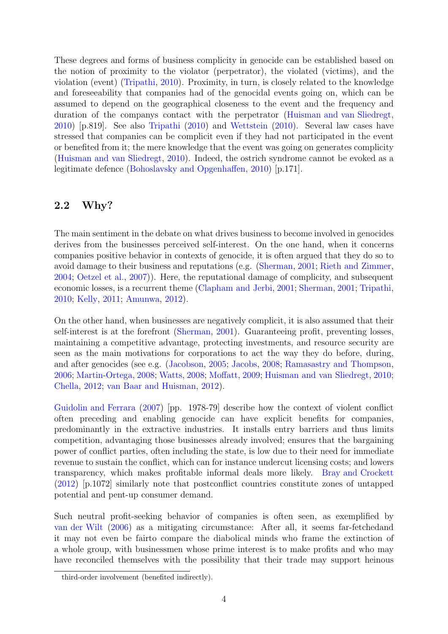These degrees and forms of business complicity in genocide can be established based on the notion of proximity to the violator (perpetrator), the violated (victims), and the violation (event) [\(Tripathi,](#page-21-8) [2010\)](#page-21-8). Proximity, in turn, is closely related to the knowledge and foreseeability that companies had of the genocidal events going on, which can be assumed to depend on the geographical closeness to the event and the frequency and duration of the companys contact with the perpetrator [\(Huisman and van Sliedregt,](#page-19-7) [2010\)](#page-19-7) [p.819]. See also [Tripathi](#page-21-8) [\(2010\)](#page-21-8) and [Wettstein](#page-22-2) [\(2010\)](#page-22-2). Several law cases have stressed that companies can be complicit even if they had not participated in the event or benefited from it; the mere knowledge that the event was going on generates complicity [\(Huisman and van Sliedregt,](#page-19-7) [2010\)](#page-19-7). Indeed, the ostrich syndrome cannot be evoked as a legitimate defence [\(Bohoslavsky and Opgenhaffen,](#page-18-4) [2010\)](#page-18-4) [p.171].

#### 2.2 Why?

The main sentiment in the debate on what drives business to become involved in genocides derives from the businesses perceived self-interest. On the one hand, when it concerns companies positive behavior in contexts of genocide, it is often argued that they do so to avoid damage to their business and reputations (e.g. [\(Sherman,](#page-21-6) [2001;](#page-21-6) [Rieth and Zimmer,](#page-21-4) [2004;](#page-21-4) [Oetzel et al.,](#page-20-6) [2007\)](#page-20-6)). Here, the reputational damage of complicity, and subsequent economic losses, is a recurrent theme [\(Clapham and Jerbi,](#page-19-3) [2001;](#page-19-3) [Sherman,](#page-21-6) [2001;](#page-21-6) [Tripathi,](#page-21-8) [2010;](#page-21-8) [Kelly,](#page-20-11) [2011;](#page-20-11) [Amunwa,](#page-18-5) [2012\)](#page-18-5).

On the other hand, when businesses are negatively complicit, it is also assumed that their self-interest is at the forefront [\(Sherman,](#page-21-6) [2001\)](#page-21-6). Guaranteeing profit, preventing losses, maintaining a competitive advantage, protecting investments, and resource security are seen as the main motivations for corporations to act the way they do before, during, and after genocides (see e.g. [\(Jacobson,](#page-19-6) [2005;](#page-19-6) [Jacobs,](#page-19-2) [2008;](#page-19-2) [Ramasastry and Thompson,](#page-21-9) [2006;](#page-21-9) [Martin-Ortega,](#page-20-9) [2008;](#page-20-9) [Watts,](#page-22-3) [2008;](#page-22-3) [Moffatt,](#page-20-5) [2009;](#page-20-5) [Huisman and van Sliedregt,](#page-19-7) [2010;](#page-19-7) [Chella,](#page-19-1) [2012;](#page-19-1) [van Baar and Huisman,](#page-22-4) [2012\)](#page-22-4).

[Guidolin and Ferrara](#page-19-8) [\(2007\)](#page-19-8) [pp. 1978-79] describe how the context of violent conflict often preceding and enabling genocide can have explicit benefits for companies, predominantly in the extractive industries. It installs entry barriers and thus limits competition, advantaging those businesses already involved; ensures that the bargaining power of conflict parties, often including the state, is low due to their need for immediate revenue to sustain the conflict, which can for instance undercut licensing costs; and lowers transparency, which makes profitable informal deals more likely. [Bray and Crockett](#page-18-3) [\(2012\)](#page-18-3) [p.1072] similarly note that postconflict countries constitute zones of untapped potential and pent-up consumer demand.

Such neutral profit-seeking behavior of companies is often seen, as exemplified by [van der Wilt](#page-22-5) [\(2006\)](#page-22-5) as a mitigating circumstance: After all, it seems far-fetchedand it may not even be fairto compare the diabolical minds who frame the extinction of a whole group, with businessmen whose prime interest is to make profits and who may have reconciled themselves with the possibility that their trade may support heinous

third-order involvement (benefited indirectly).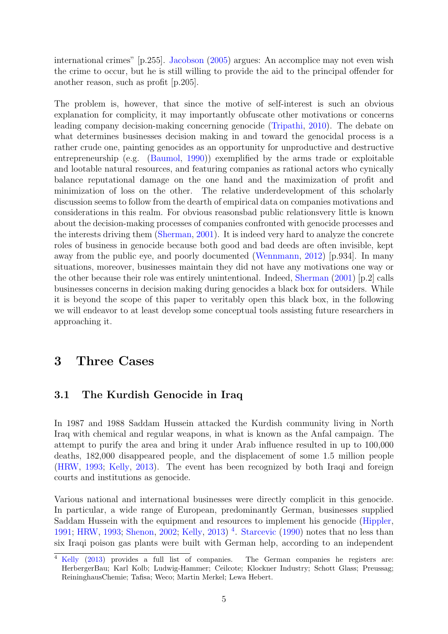international crimes" [p.255]. [Jacobson](#page-19-6) [\(2005\)](#page-19-6) argues: An accomplice may not even wish the crime to occur, but he is still willing to provide the aid to the principal offender for another reason, such as profit [p.205].

The problem is, however, that since the motive of self-interest is such an obvious explanation for complicity, it may importantly obfuscate other motivations or concerns leading company decision-making concerning genocide [\(Tripathi,](#page-21-8) [2010\)](#page-21-8). The debate on what determines businesses decision making in and toward the genocidal process is a rather crude one, painting genocides as an opportunity for unproductive and destructive entrepreneurship (e.g. [\(Baumol,](#page-18-6) [1990\)](#page-18-6)) exemplified by the arms trade or exploitable and lootable natural resources, and featuring companies as rational actors who cynically balance reputational damage on the one hand and the maximization of profit and minimization of loss on the other. The relative underdevelopment of this scholarly discussion seems to follow from the dearth of empirical data on companies motivations and considerations in this realm. For obvious reasonsbad public relationsvery little is known about the decision-making processes of companies confronted with genocide processes and the interests driving them [\(Sherman,](#page-21-6) [2001\)](#page-21-6). It is indeed very hard to analyze the concrete roles of business in genocide because both good and bad deeds are often invisible, kept away from the public eye, and poorly documented [\(Wennmann,](#page-22-6) [2012\)](#page-22-6) [p.934]. In many situations, moreover, businesses maintain they did not have any motivations one way or the other because their role was entirely unintentional. Indeed, [Sherman](#page-21-6) [\(2001\)](#page-21-6) [p.2] calls businesses concerns in decision making during genocides a black box for outsiders. While it is beyond the scope of this paper to veritably open this black box, in the following we will endeavor to at least develop some conceptual tools assisting future researchers in approaching it.

## 3 Three Cases

#### 3.1 The Kurdish Genocide in Iraq

In 1987 and 1988 Saddam Hussein attacked the Kurdish community living in North Iraq with chemical and regular weapons, in what is known as the Anfal campaign. The attempt to purify the area and bring it under Arab influence resulted in up to 100,000 deaths, 182,000 disappeared people, and the displacement of some 1.5 million people [\(HRW,](#page-19-9) [1993;](#page-19-9) [Kelly,](#page-20-12) [2013\)](#page-20-12). The event has been recognized by both Iraqi and foreign courts and institutions as genocide.

Various national and international businesses were directly complicit in this genocide. In particular, a wide range of European, predominantly German, businesses supplied Saddam Hussein with the equipment and resources to implement his genocide [\(Hippler,](#page-19-10) [1991;](#page-19-10) [HRW,](#page-19-9) [1993;](#page-19-9) [Shenon,](#page-21-10) [2002;](#page-21-10) [Kelly,](#page-20-12) [2013\)](#page-20-12) [4](#page-7-0) . [Starcevic](#page-21-11) [\(1990\)](#page-21-11) notes that no less than six Iraqi poison gas plants were built with German help, according to an independent

<span id="page-7-0"></span><sup>4</sup> [Kelly](#page-20-12) [\(2013\)](#page-20-12) provides a full list of companies. The German companies he registers are: HerbergerBau; Karl Kolb; Ludwig-Hammer; Ceilcote; Klockner Industry; Schott Glass; Preussag; ReininghausChemie; Tafisa; Weco; Martin Merkel; Lewa Hebert.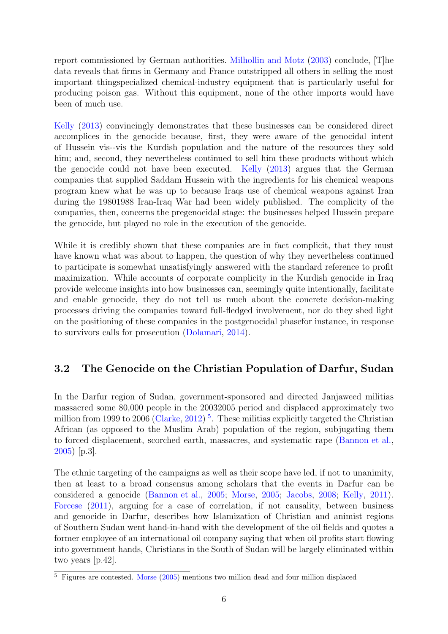report commissioned by German authorities. [Milhollin and Motz](#page-20-13) [\(2003\)](#page-20-13) conclude, [T]he data reveals that firms in Germany and France outstripped all others in selling the most important thingspecialized chemical-industry equipment that is particularly useful for producing poison gas. Without this equipment, none of the other imports would have been of much use.

[Kelly](#page-20-12) [\(2013\)](#page-20-12) convincingly demonstrates that these businesses can be considered direct accomplices in the genocide because, first, they were aware of the genocidal intent of Hussein vis--vis the Kurdish population and the nature of the resources they sold him; and, second, they nevertheless continued to sell him these products without which the genocide could not have been executed. [Kelly](#page-20-12) [\(2013\)](#page-20-12) argues that the German companies that supplied Saddam Hussein with the ingredients for his chemical weapons program knew what he was up to because Iraqs use of chemical weapons against Iran during the 19801988 Iran-Iraq War had been widely published. The complicity of the companies, then, concerns the pregenocidal stage: the businesses helped Hussein prepare the genocide, but played no role in the execution of the genocide.

While it is credibly shown that these companies are in fact complicit, that they must have known what was about to happen, the question of why they nevertheless continued to participate is somewhat unsatisfyingly answered with the standard reference to profit maximization. While accounts of corporate complicity in the Kurdish genocide in Iraq provide welcome insights into how businesses can, seemingly quite intentionally, facilitate and enable genocide, they do not tell us much about the concrete decision-making processes driving the companies toward full-fledged involvement, nor do they shed light on the positioning of these companies in the postgenocidal phasefor instance, in response to survivors calls for prosecution [\(Dolamari,](#page-19-11) [2014\)](#page-19-11).

#### 3.2 The Genocide on the Christian Population of Darfur, Sudan

In the Darfur region of Sudan, government-sponsored and directed Janjaweed militias massacred some 80,000 people in the 20032005 period and displaced approximately two million from 1999 to 2006 [\(Clarke,](#page-19-12) [2012\)](#page-19-12)<sup>[5](#page-8-0)</sup>. These militias explicitly targeted the Christian African (as opposed to the Muslim Arab) population of the region, subjugating them to forced displacement, scorched earth, massacres, and systematic rape [\(Bannon et al.,](#page-18-7) [2005\)](#page-18-7) [p.3].

The ethnic targeting of the campaigns as well as their scope have led, if not to unanimity, then at least to a broad consensus among scholars that the events in Darfur can be considered a genocide [\(Bannon et al.,](#page-18-7) [2005;](#page-18-7) [Morse,](#page-20-14) [2005;](#page-20-14) [Jacobs,](#page-19-2) [2008;](#page-19-2) [Kelly,](#page-20-11) [2011\)](#page-20-11). [Forcese](#page-19-13) [\(2011\)](#page-19-13), arguing for a case of correlation, if not causality, between business and genocide in Darfur, describes how Islamization of Christian and animist regions of Southern Sudan went hand-in-hand with the development of the oil fields and quotes a former employee of an international oil company saying that when oil profits start flowing into government hands, Christians in the South of Sudan will be largely eliminated within two years [p.42].

<span id="page-8-0"></span> $\overline{\text{5}$  Figures are contested. [Morse](#page-20-14) [\(2005\)](#page-20-14) mentions two million dead and four million displaced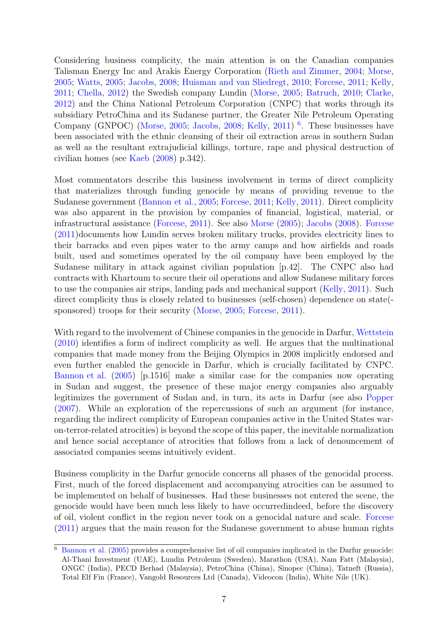Considering business complicity, the main attention is on the Canadian companies Talisman Energy Inc and Arakis Energy Corporation [\(Rieth and Zimmer,](#page-21-4) [2004;](#page-21-4) [Morse,](#page-20-14) [2005;](#page-20-14) [Watts,](#page-22-7) [2005;](#page-22-7) [Jacobs,](#page-19-2) [2008;](#page-19-2) [Huisman and van Sliedregt,](#page-19-7) [2010;](#page-19-7) [Forcese,](#page-19-13) [2011;](#page-19-13) [Kelly,](#page-20-11) [2011;](#page-20-11) [Chella,](#page-19-1) [2012\)](#page-19-1) the Swedish company Lundin [\(Morse,](#page-20-14) [2005;](#page-20-14) [Batruch,](#page-18-8) [2010;](#page-18-8) [Clarke,](#page-19-12) [2012\)](#page-19-12) and the China National Petroleum Corporation (CNPC) that works through its subsidiary PetroChina and its Sudanese partner, the Greater Nile Petroleum Operating Company (GNPOC) [\(Morse,](#page-20-14) [2005;](#page-20-14) [Jacobs,](#page-19-2) [2008;](#page-19-2) [Kelly,](#page-20-11) [2011\)](#page-20-11)<sup>[6](#page-9-0)</sup>. These businesses have been associated with the ethnic cleansing of their oil extraction areas in southern Sudan as well as the resultant extrajudicial killings, torture, rape and physical destruction of civilian homes (see [Kaeb](#page-20-2) [\(2008\)](#page-20-2) p.342).

Most commentators describe this business involvement in terms of direct complicity that materializes through funding genocide by means of providing revenue to the Sudanese government [\(Bannon et al.,](#page-18-7) [2005;](#page-18-7) [Forcese,](#page-19-13) [2011;](#page-19-13) [Kelly,](#page-20-11) [2011\)](#page-20-11). Direct complicity was also apparent in the provision by companies of financial, logistical, material, or infrastructural assistance [\(Forcese,](#page-19-13) [2011\)](#page-19-13). See also [Morse](#page-20-14) [\(2005\)](#page-20-14); [Jacobs](#page-19-2) [\(2008\)](#page-19-2). [Forcese](#page-19-13) [\(2011\)](#page-19-13)documents how Lundin serves broken military trucks, provides electricity lines to their barracks and even pipes water to the army camps and how airfields and roads built, used and sometimes operated by the oil company have been employed by the Sudanese military in attack against civilian population [p.42]. The CNPC also had contracts with Khartoum to secure their oil operations and allow Sudanese military forces to use the companies air strips, landing pads and mechanical support [\(Kelly,](#page-20-11) [2011\)](#page-20-11). Such direct complicity thus is closely related to businesses (self-chosen) dependence on state(- sponsored) troops for their security [\(Morse,](#page-20-14) [2005;](#page-20-14) [Forcese,](#page-19-13) [2011\)](#page-19-13).

With regard to the involvement of Chinese companies in the genocide in Darfur, [Wettstein](#page-22-2) [\(2010\)](#page-22-2) identifies a form of indirect complicity as well. He argues that the multinational companies that made money from the Beijing Olympics in 2008 implicitly endorsed and even further enabled the genocide in Darfur, which is crucially facilitated by CNPC. [Bannon et al.](#page-18-7) [\(2005\)](#page-18-7) [p.1516] make a similar case for the companies now operating in Sudan and suggest, the presence of these major energy companies also arguably legitimizes the government of Sudan and, in turn, its acts in Darfur (see also [Popper](#page-21-12) [\(2007\)](#page-21-12). While an exploration of the repercussions of such an argument (for instance, regarding the indirect complicity of European companies active in the United States waron-terror-related atrocities) is beyond the scope of this paper, the inevitable normalization and hence social acceptance of atrocities that follows from a lack of denouncement of associated companies seems intuitively evident.

Business complicity in the Darfur genocide concerns all phases of the genocidal process. First, much of the forced displacement and accompanying atrocities can be assumed to be implemented on behalf of businesses. Had these businesses not entered the scene, the genocide would have been much less likely to have occurredindeed, before the discovery of oil, violent conflict in the region never took on a genocidal nature and scale. [Forcese](#page-19-13) [\(2011\)](#page-19-13) argues that the main reason for the Sudanese government to abuse human rights

<span id="page-9-0"></span><sup>6</sup> [Bannon et al.](#page-18-7) [\(2005\)](#page-18-7) provides a comprehensive list of oil companies implicated in the Darfur genocide: Al-Thani Investment (UAE), Lundin Petroleum (Sweden), Marathon (USA), Nam Fatt (Malaysia), ONGC (India), PECD Berhad (Malaysia), PetroChina (China), Sinopec (China), Tatneft (Russia), Total Elf Fin (France), Vangold Resources Ltd (Canada), Videocon (India), White Nile (UK).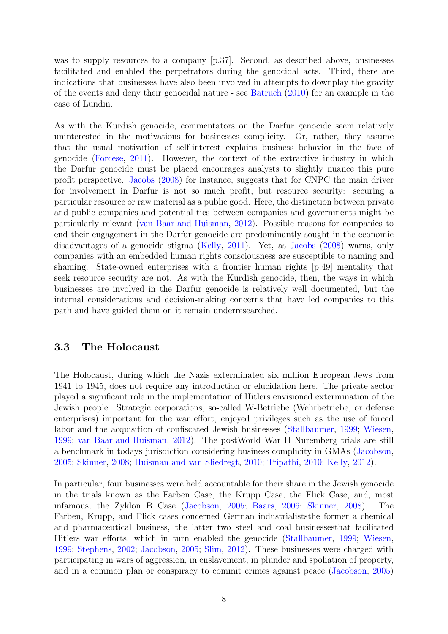was to supply resources to a company  $[p.37]$ . Second, as described above, businesses facilitated and enabled the perpetrators during the genocidal acts. Third, there are indications that businesses have also been involved in attempts to downplay the gravity of the events and deny their genocidal nature - see [Batruch](#page-18-8) [\(2010\)](#page-18-8) for an example in the case of Lundin.

As with the Kurdish genocide, commentators on the Darfur genocide seem relatively uninterested in the motivations for businesses complicity. Or, rather, they assume that the usual motivation of self-interest explains business behavior in the face of genocide [\(Forcese,](#page-19-13) [2011\)](#page-19-13). However, the context of the extractive industry in which the Darfur genocide must be placed encourages analysts to slightly nuance this pure profit perspective. [Jacobs](#page-19-2) [\(2008\)](#page-19-2) for instance, suggests that for CNPC the main driver for involvement in Darfur is not so much profit, but resource security: securing a particular resource or raw material as a public good. Here, the distinction between private and public companies and potential ties between companies and governments might be particularly relevant [\(van Baar and Huisman,](#page-22-4) [2012\)](#page-22-4). Possible reasons for companies to end their engagement in the Darfur genocide are predominantly sought in the economic disadvantages of a genocide stigma [\(Kelly,](#page-20-11) [2011\)](#page-20-11). Yet, as [Jacobs](#page-19-2) [\(2008\)](#page-19-2) warns, only companies with an embedded human rights consciousness are susceptible to naming and shaming. State-owned enterprises with a frontier human rights [p.49] mentality that seek resource security are not. As with the Kurdish genocide, then, the ways in which businesses are involved in the Darfur genocide is relatively well documented, but the internal considerations and decision-making concerns that have led companies to this path and have guided them on it remain underresearched.

#### 3.3 The Holocaust

The Holocaust, during which the Nazis exterminated six million European Jews from 1941 to 1945, does not require any introduction or elucidation here. The private sector played a significant role in the implementation of Hitlers envisioned extermination of the Jewish people. Strategic corporations, so-called W-Betriebe (Wehrbetriebe, or defense enterprises) important for the war effort, enjoyed privileges such as the use of forced labor and the acquisition of confiscated Jewish businesses [\(Stallbaumer,](#page-21-13) [1999;](#page-21-13) [Wiesen,](#page-22-8) [1999;](#page-22-8) [van Baar and Huisman,](#page-22-4) [2012\)](#page-22-4). The postWorld War II Nuremberg trials are still a benchmark in todays jurisdiction considering business complicity in GMAs [\(Jacobson,](#page-19-6) [2005;](#page-19-6) [Skinner,](#page-21-7) [2008;](#page-21-7) [Huisman and van Sliedregt,](#page-19-7) [2010;](#page-19-7) [Tripathi,](#page-21-8) [2010;](#page-21-8) [Kelly,](#page-20-0) [2012\)](#page-20-0).

In particular, four businesses were held accountable for their share in the Jewish genocide in the trials known as the Farben Case, the Krupp Case, the Flick Case, and, most infamous, the Zyklon B Case [\(Jacobson,](#page-19-6) [2005;](#page-19-6) [Baars,](#page-18-1) [2006;](#page-18-1) [Skinner,](#page-21-7) [2008\)](#page-21-7). The Farben, Krupp, and Flick cases concerned German industrialiststhe former a chemical and pharmaceutical business, the latter two steel and coal businessesthat facilitated Hitlers war efforts, which in turn enabled the genocide [\(Stallbaumer,](#page-21-13) [1999;](#page-21-13) [Wiesen,](#page-22-8) [1999;](#page-22-8) [Stephens,](#page-21-1) [2002;](#page-21-1) [Jacobson,](#page-19-6) [2005;](#page-19-6) [Slim,](#page-21-2) [2012\)](#page-21-2). These businesses were charged with participating in wars of aggression, in enslavement, in plunder and spoliation of property, and in a common plan or conspiracy to commit crimes against peace [\(Jacobson,](#page-19-6) [2005\)](#page-19-6)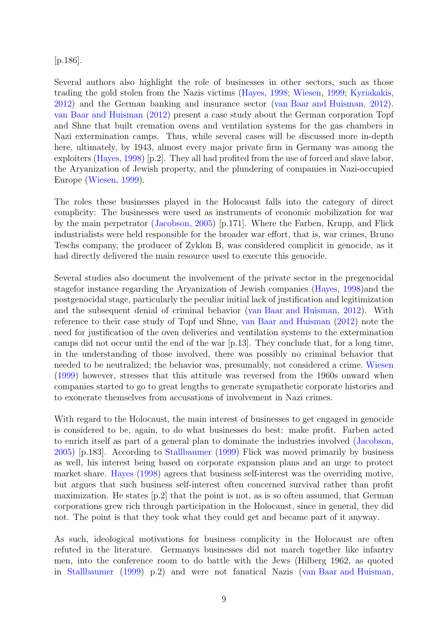[p.186].

Several authors also highlight the role of businesses in other sectors, such as those trading the gold stolen from the Nazis victims [\(Hayes,](#page-19-14) [1998;](#page-19-14) [Wiesen,](#page-22-8) [1999;](#page-22-8) [Kyriakakis,](#page-20-8) [2012\)](#page-20-8) and the German banking and insurance sector [\(van Baar and Huisman,](#page-22-4) [2012\)](#page-22-4). [van Baar and Huisman](#page-22-4) [\(2012\)](#page-22-4) present a case study about the German corporation Topf and Shne that built cremation ovens and ventilation systems for the gas chambers in Nazi extermination camps. Thus, while several cases will be discussed more in-depth here, ultimately, by 1943, almost every major private firm in Germany was among the exploiters [\(Hayes,](#page-19-14) [1998\)](#page-19-14) [p.2]. They all had profited from the use of forced and slave labor, the Aryanization of Jewish property, and the plundering of companies in Nazi-occupied Europe [\(Wiesen,](#page-22-8) [1999\)](#page-22-8).

The roles these businesses played in the Holocaust falls into the category of direct complicity: The businesses were used as instruments of economic mobilization for war by the main perpetrator [\(Jacobson,](#page-19-6) [2005\)](#page-19-6) [p.171]. Where the Farben, Krupp, and Flick industrialists were held responsible for the broader war effort, that is, war crimes, Bruno Teschs company, the producer of Zyklon B, was considered complicit in genocide, as it had directly delivered the main resource used to execute this genocide.

Several studies also document the involvement of the private sector in the pregenocidal stagefor instance regarding the Aryanization of Jewish companies [\(Hayes,](#page-19-14) [1998\)](#page-19-14)and the postgenocidal stage, particularly the peculiar initial lack of justification and legitimization and the subsequent denial of criminal behavior [\(van Baar and Huisman,](#page-22-4) [2012\)](#page-22-4). With reference to their case study of Topf und Shne, [van Baar and Huisman](#page-22-4) [\(2012\)](#page-22-4) note the need for justification of the oven deliveries and ventilation systems to the extermination camps did not occur until the end of the war [p.13]. They conclude that, for a long time, in the understanding of those involved, there was possibly no criminal behavior that needed to be neutralized; the behavior was, presumably, not considered a crime. [Wiesen](#page-22-8) [\(1999\)](#page-22-8) however, stresses that this attitude was reversed from the 1960s onward when companies started to go to great lengths to generate sympathetic corporate histories and to exonerate themselves from accusations of involvement in Nazi crimes.

With regard to the Holocaust, the main interest of businesses to get engaged in genocide is considered to be, again, to do what businesses do best: make profit. Farben acted to enrich itself as part of a general plan to dominate the industries involved [\(Jacobson,](#page-19-6) [2005\)](#page-19-6) [p.183]. According to [Stallbaumer](#page-21-13) [\(1999\)](#page-21-13) Flick was moved primarily by business as well, his interest being based on corporate expansion plans and an urge to protect market share. [Hayes](#page-19-14) [\(1998\)](#page-19-14) agrees that business self-interest was the overriding motive, but argues that such business self-interest often concerned survival rather than profit maximization. He states [p.2] that the point is not, as is so often assumed, that German corporations grew rich through participation in the Holocaust, since in general, they did not. The point is that they took what they could get and became part of it anyway.

As such, ideological motivations for business complicity in the Holocaust are often refuted in the literature. Germanys businesses did not march together like infantry men, into the conference room to do battle with the Jews (Hilberg 1962, as quoted in [Stallbaumer](#page-21-13) [\(1999\)](#page-21-13) p.2) and were not fanatical Nazis [\(van Baar and Huisman,](#page-22-4)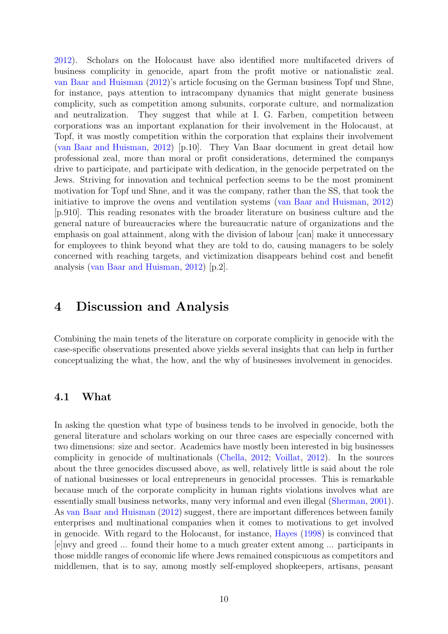[2012\)](#page-22-4). Scholars on the Holocaust have also identified more multifaceted drivers of business complicity in genocide, apart from the profit motive or nationalistic zeal. [van Baar and Huisman](#page-22-4) [\(2012\)](#page-22-4)'s article focusing on the German business Topf und Shne, for instance, pays attention to intracompany dynamics that might generate business complicity, such as competition among subunits, corporate culture, and normalization and neutralization. They suggest that while at I. G. Farben, competition between corporations was an important explanation for their involvement in the Holocaust, at Topf, it was mostly competition within the corporation that explains their involvement [\(van Baar and Huisman,](#page-22-4) [2012\)](#page-22-4) [p.10]. They Van Baar document in great detail how professional zeal, more than moral or profit considerations, determined the companys drive to participate, and participate with dedication, in the genocide perpetrated on the Jews. Striving for innovation and technical perfection seems to be the most prominent motivation for Topf und Shne, and it was the company, rather than the SS, that took the initiative to improve the ovens and ventilation systems [\(van Baar and Huisman,](#page-22-4) [2012\)](#page-22-4) [p.910]. This reading resonates with the broader literature on business culture and the general nature of bureaucracies where the bureaucratic nature of organizations and the emphasis on goal attainment, along with the division of labour [can] make it unnecessary for employees to think beyond what they are told to do, causing managers to be solely concerned with reaching targets, and victimization disappears behind cost and benefit analysis [\(van Baar and Huisman,](#page-22-4) [2012\)](#page-22-4) [p.2].

### 4 Discussion and Analysis

Combining the main tenets of the literature on corporate complicity in genocide with the case-specific observations presented above yields several insights that can help in further conceptualizing the what, the how, and the why of businesses involvement in genocides.

#### 4.1 What

In asking the question what type of business tends to be involved in genocide, both the general literature and scholars working on our three cases are especially concerned with two dimensions: size and sector. Academics have mostly been interested in big businesses complicity in genocide of multinationals [\(Chella,](#page-19-1) [2012;](#page-19-1) [Voillat,](#page-22-9) [2012\)](#page-22-9). In the sources about the three genocides discussed above, as well, relatively little is said about the role of national businesses or local entrepreneurs in genocidal processes. This is remarkable because much of the corporate complicity in human rights violations involves what are essentially small business networks, many very informal and even illegal [\(Sherman,](#page-21-6) [2001\)](#page-21-6). As [van Baar and Huisman](#page-22-4) [\(2012\)](#page-22-4) suggest, there are important differences between family enterprises and multinational companies when it comes to motivations to get involved in genocide. With regard to the Holocaust, for instance, [Hayes](#page-19-14) [\(1998\)](#page-19-14) is convinced that [e]nvy and greed ... found their home to a much greater extent among ... participants in those middle ranges of economic life where Jews remained conspicuous as competitors and middlemen, that is to say, among mostly self-employed shopkeepers, artisans, peasant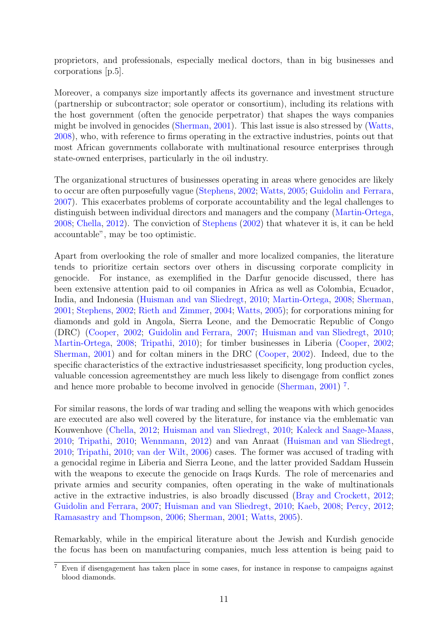proprietors, and professionals, especially medical doctors, than in big businesses and corporations [p.5].

Moreover, a companys size importantly affects its governance and investment structure (partnership or subcontractor; sole operator or consortium), including its relations with the host government (often the genocide perpetrator) that shapes the ways companies might be involved in genocides [\(Sherman,](#page-21-6) [2001\)](#page-21-6). This last issue is also stressed by [\(Watts,](#page-22-3) [2008\)](#page-22-3), who, with reference to firms operating in the extractive industries, points out that most African governments collaborate with multinational resource enterprises through state-owned enterprises, particularly in the oil industry.

The organizational structures of businesses operating in areas where genocides are likely to occur are often purposefully vague [\(Stephens,](#page-21-1) [2002;](#page-21-1) [Watts,](#page-22-7) [2005;](#page-22-7) [Guidolin and Ferrara,](#page-19-8) [2007\)](#page-19-8). This exacerbates problems of corporate accountability and the legal challenges to distinguish between individual directors and managers and the company [\(Martin-Ortega,](#page-20-9) [2008;](#page-20-9) [Chella,](#page-19-1) [2012\)](#page-19-1). The conviction of [Stephens](#page-21-1) [\(2002\)](#page-21-1) that whatever it is, it can be held accountable", may be too optimistic.

Apart from overlooking the role of smaller and more localized companies, the literature tends to prioritize certain sectors over others in discussing corporate complicity in genocide. For instance, as exemplified in the Darfur genocide discussed, there has been extensive attention paid to oil companies in Africa as well as Colombia, Ecuador, India, and Indonesia [\(Huisman and van Sliedregt,](#page-19-7) [2010;](#page-19-7) [Martin-Ortega,](#page-20-9) [2008;](#page-20-9) [Sherman,](#page-21-6) [2001;](#page-21-6) [Stephens,](#page-21-1) [2002;](#page-21-1) [Rieth and Zimmer,](#page-21-4) [2004;](#page-21-4) [Watts,](#page-22-7) [2005\)](#page-22-7); for corporations mining for diamonds and gold in Angola, Sierra Leone, and the Democratic Republic of Congo (DRC) [\(Cooper,](#page-19-4) [2002;](#page-19-4) [Guidolin and Ferrara,](#page-19-8) [2007;](#page-19-8) [Huisman and van Sliedregt,](#page-19-7) [2010;](#page-19-7) [Martin-Ortega,](#page-20-9) [2008;](#page-20-9) [Tripathi,](#page-21-8) [2010\)](#page-21-8); for timber businesses in Liberia [\(Cooper,](#page-19-4) [2002;](#page-19-4) [Sherman,](#page-21-6) [2001\)](#page-21-6) and for coltan miners in the DRC [\(Cooper,](#page-19-4) [2002\)](#page-19-4). Indeed, due to the specific characteristics of the extractive industriesasset specificity, long production cycles, valuable concession agreementsthey are much less likely to disengage from conflict zones and hence more probable to become involved in genocide [\(Sherman,](#page-21-6) [2001\)](#page-21-6)<sup>[7](#page-13-0)</sup>.

For similar reasons, the lords of war trading and selling the weapons with which genocides are executed are also well covered by the literature, for instance via the emblematic van Kouwenhove [\(Chella,](#page-19-1) [2012;](#page-19-1) [Huisman and van Sliedregt,](#page-19-7) [2010;](#page-19-7) [Kaleck and Saage-Maass,](#page-20-1) [2010;](#page-20-1) [Tripathi,](#page-21-8) [2010;](#page-21-8) [Wennmann,](#page-22-6) [2012\)](#page-22-6) and van Anraat [\(Huisman and van Sliedregt,](#page-19-7) [2010;](#page-19-7) [Tripathi,](#page-21-8) [2010;](#page-21-8) [van der Wilt,](#page-22-5) [2006\)](#page-22-5) cases. The former was accused of trading with a genocidal regime in Liberia and Sierra Leone, and the latter provided Saddam Hussein with the weapons to execute the genocide on Iraqs Kurds. The role of mercenaries and private armies and security companies, often operating in the wake of multinationals active in the extractive industries, is also broadly discussed [\(Bray and Crockett,](#page-18-3) [2012;](#page-18-3) [Guidolin and Ferrara,](#page-19-8) [2007;](#page-19-8) [Huisman and van Sliedregt,](#page-19-7) [2010;](#page-19-7) [Kaeb,](#page-20-2) [2008;](#page-20-2) [Percy,](#page-21-14) [2012;](#page-21-14) [Ramasastry and Thompson,](#page-21-9) [2006;](#page-21-9) [Sherman,](#page-21-6) [2001;](#page-21-6) [Watts,](#page-22-7) [2005\)](#page-22-7).

Remarkably, while in the empirical literature about the Jewish and Kurdish genocide the focus has been on manufacturing companies, much less attention is being paid to

<span id="page-13-0"></span> $\frac{7}{7}$  Even if disengagement has taken place in some cases, for instance in response to campaigns against blood diamonds.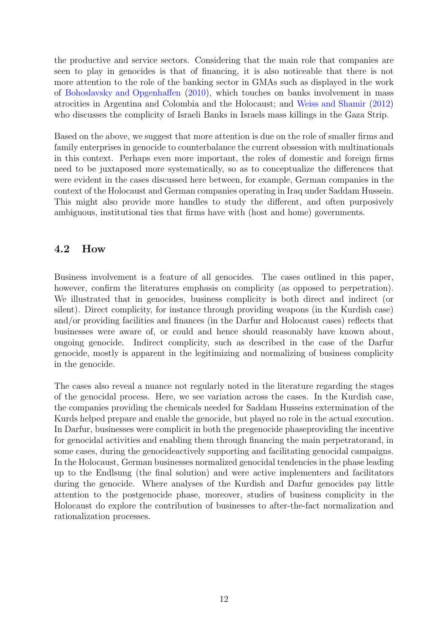the productive and service sectors. Considering that the main role that companies are seen to play in genocides is that of financing, it is also noticeable that there is not more attention to the role of the banking sector in GMAs such as displayed in the work of [Bohoslavsky and Opgenhaffen](#page-18-4) [\(2010\)](#page-18-4), which touches on banks involvement in mass atrocities in Argentina and Colombia and the Holocaust; and [Weiss and Shamir](#page-22-10) [\(2012\)](#page-22-10) who discusses the complicity of Israeli Banks in Israels mass killings in the Gaza Strip.

Based on the above, we suggest that more attention is due on the role of smaller firms and family enterprises in genocide to counterbalance the current obsession with multinationals in this context. Perhaps even more important, the roles of domestic and foreign firms need to be juxtaposed more systematically, so as to conceptualize the differences that were evident in the cases discussed here between, for example, German companies in the context of the Holocaust and German companies operating in Iraq under Saddam Hussein. This might also provide more handles to study the different, and often purposively ambiguous, institutional ties that firms have with (host and home) governments.

#### 4.2 How

Business involvement is a feature of all genocides. The cases outlined in this paper, however, confirm the literatures emphasis on complicity (as opposed to perpetration). We illustrated that in genocides, business complicity is both direct and indirect (or silent). Direct complicity, for instance through providing weapons (in the Kurdish case) and/or providing facilities and finances (in the Darfur and Holocaust cases) reflects that businesses were aware of, or could and hence should reasonably have known about, ongoing genocide. Indirect complicity, such as described in the case of the Darfur genocide, mostly is apparent in the legitimizing and normalizing of business complicity in the genocide.

The cases also reveal a nuance not regularly noted in the literature regarding the stages of the genocidal process. Here, we see variation across the cases. In the Kurdish case, the companies providing the chemicals needed for Saddam Husseins extermination of the Kurds helped prepare and enable the genocide, but played no role in the actual execution. In Darfur, businesses were complicit in both the pregenocide phaseproviding the incentive for genocidal activities and enabling them through financing the main perpetratorand, in some cases, during the genocideactively supporting and facilitating genocidal campaigns. In the Holocaust, German businesses normalized genocidal tendencies in the phase leading up to the Endlsung (the final solution) and were active implementers and facilitators during the genocide. Where analyses of the Kurdish and Darfur genocides pay little attention to the postgenocide phase, moreover, studies of business complicity in the Holocaust do explore the contribution of businesses to after-the-fact normalization and rationalization processes.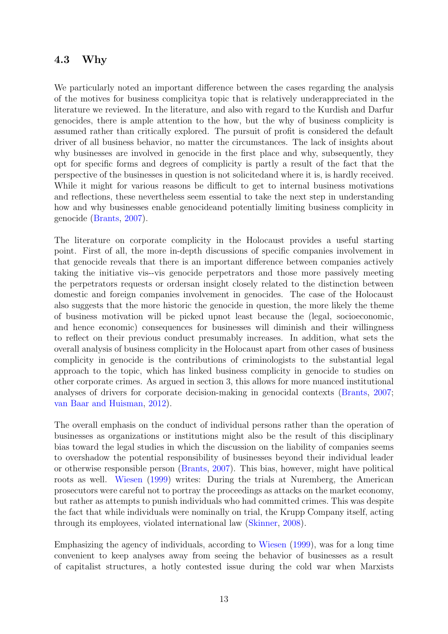#### 4.3 Why

We particularly noted an important difference between the cases regarding the analysis of the motives for business complicitya topic that is relatively underappreciated in the literature we reviewed. In the literature, and also with regard to the Kurdish and Darfur genocides, there is ample attention to the how, but the why of business complicity is assumed rather than critically explored. The pursuit of profit is considered the default driver of all business behavior, no matter the circumstances. The lack of insights about why businesses are involved in genocide in the first place and why, subsequently, they opt for specific forms and degrees of complicity is partly a result of the fact that the perspective of the businesses in question is not solicitedand where it is, is hardly received. While it might for various reasons be difficult to get to internal business motivations and reflections, these nevertheless seem essential to take the next step in understanding how and why businesses enable genocideand potentially limiting business complicity in genocide [\(Brants,](#page-18-9) [2007\)](#page-18-9).

The literature on corporate complicity in the Holocaust provides a useful starting point. First of all, the more in-depth discussions of specific companies involvement in that genocide reveals that there is an important difference between companies actively taking the initiative vis--vis genocide perpetrators and those more passively meeting the perpetrators requests or ordersan insight closely related to the distinction between domestic and foreign companies involvement in genocides. The case of the Holocaust also suggests that the more historic the genocide in question, the more likely the theme of business motivation will be picked upnot least because the (legal, socioeconomic, and hence economic) consequences for businesses will diminish and their willingness to reflect on their previous conduct presumably increases. In addition, what sets the overall analysis of business complicity in the Holocaust apart from other cases of business complicity in genocide is the contributions of criminologists to the substantial legal approach to the topic, which has linked business complicity in genocide to studies on other corporate crimes. As argued in section 3, this allows for more nuanced institutional analyses of drivers for corporate decision-making in genocidal contexts [\(Brants,](#page-18-9) [2007;](#page-18-9) [van Baar and Huisman,](#page-22-4) [2012\)](#page-22-4).

The overall emphasis on the conduct of individual persons rather than the operation of businesses as organizations or institutions might also be the result of this disciplinary bias toward the legal studies in which the discussion on the liability of companies seems to overshadow the potential responsibility of businesses beyond their individual leader or otherwise responsible person [\(Brants,](#page-18-9) [2007\)](#page-18-9). This bias, however, might have political roots as well. [Wiesen](#page-22-8) [\(1999\)](#page-22-8) writes: During the trials at Nuremberg, the American prosecutors were careful not to portray the proceedings as attacks on the market economy, but rather as attempts to punish individuals who had committed crimes. This was despite the fact that while individuals were nominally on trial, the Krupp Company itself, acting through its employees, violated international law [\(Skinner,](#page-21-7) [2008\)](#page-21-7).

Emphasizing the agency of individuals, according to [Wiesen](#page-22-8) [\(1999\)](#page-22-8), was for a long time convenient to keep analyses away from seeing the behavior of businesses as a result of capitalist structures, a hotly contested issue during the cold war when Marxists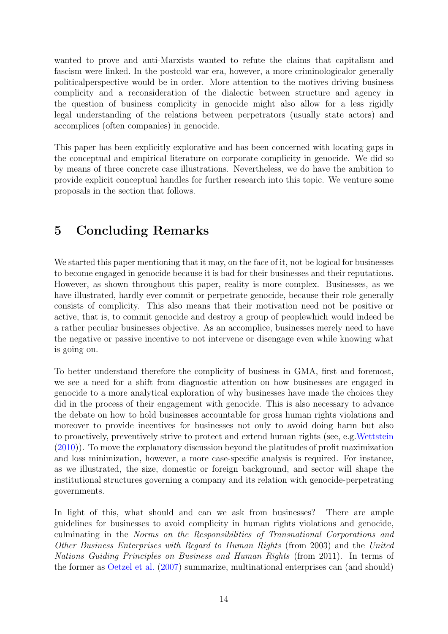wanted to prove and anti-Marxists wanted to refute the claims that capitalism and fascism were linked. In the postcold war era, however, a more criminologicalor generally politicalperspective would be in order. More attention to the motives driving business complicity and a reconsideration of the dialectic between structure and agency in the question of business complicity in genocide might also allow for a less rigidly legal understanding of the relations between perpetrators (usually state actors) and accomplices (often companies) in genocide.

This paper has been explicitly explorative and has been concerned with locating gaps in the conceptual and empirical literature on corporate complicity in genocide. We did so by means of three concrete case illustrations. Nevertheless, we do have the ambition to provide explicit conceptual handles for further research into this topic. We venture some proposals in the section that follows.

# 5 Concluding Remarks

We started this paper mentioning that it may, on the face of it, not be logical for businesses to become engaged in genocide because it is bad for their businesses and their reputations. However, as shown throughout this paper, reality is more complex. Businesses, as we have illustrated, hardly ever commit or perpetrate genocide, because their role generally consists of complicity. This also means that their motivation need not be positive or active, that is, to commit genocide and destroy a group of peoplewhich would indeed be a rather peculiar businesses objective. As an accomplice, businesses merely need to have the negative or passive incentive to not intervene or disengage even while knowing what is going on.

To better understand therefore the complicity of business in GMA, first and foremost, we see a need for a shift from diagnostic attention on how businesses are engaged in genocide to a more analytical exploration of why businesses have made the choices they did in the process of their engagement with genocide. This is also necessary to advance the debate on how to hold businesses accountable for gross human rights violations and moreover to provide incentives for businesses not only to avoid doing harm but also to proactively, preventively strive to protect and extend human rights (see, e.g[.Wettstein](#page-22-2) [\(2010\)](#page-22-2)). To move the explanatory discussion beyond the platitudes of profit maximization and loss minimization, however, a more case-specific analysis is required. For instance, as we illustrated, the size, domestic or foreign background, and sector will shape the institutional structures governing a company and its relation with genocide-perpetrating governments.

In light of this, what should and can we ask from businesses? There are ample guidelines for businesses to avoid complicity in human rights violations and genocide, culminating in the Norms on the Responsibilities of Transnational Corporations and Other Business Enterprises with Regard to Human Rights (from 2003) and the United Nations Guiding Principles on Business and Human Rights (from 2011). In terms of the former as [Oetzel et al.](#page-20-6) [\(2007\)](#page-20-6) summarize, multinational enterprises can (and should)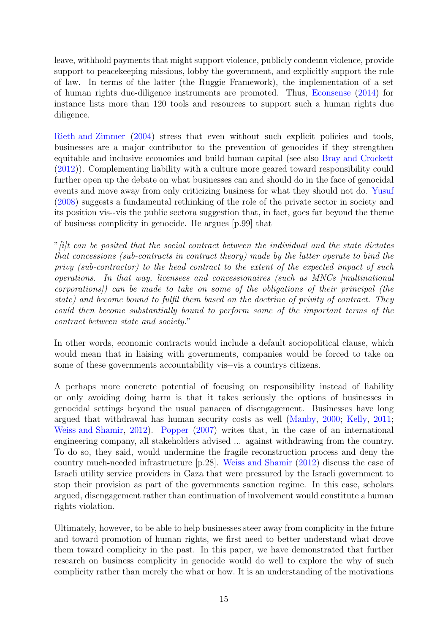leave, withhold payments that might support violence, publicly condemn violence, provide support to peacekeeping missions, lobby the government, and explicitly support the rule of law. In terms of the latter (the Ruggie Framework), the implementation of a set of human rights due-diligence instruments are promoted. Thus, [Econsense](#page-19-15) [\(2014\)](#page-19-15) for instance lists more than 120 tools and resources to support such a human rights due diligence.

[Rieth and Zimmer](#page-21-4) [\(2004\)](#page-21-4) stress that even without such explicit policies and tools, businesses are a major contributor to the prevention of genocides if they strengthen equitable and inclusive economies and build human capital (see also [Bray and Crockett](#page-18-3) [\(2012\)](#page-18-3)). Complementing liability with a culture more geared toward responsibility could further open up the debate on what businesses can and should do in the face of genocidal events and move away from only criticizing business for what they should not do. [Yusuf](#page-22-11) [\(2008\)](#page-22-11) suggests a fundamental rethinking of the role of the private sector in society and its position vis--vis the public sectora suggestion that, in fact, goes far beyond the theme of business complicity in genocide. He argues [p.99] that

 $"j\nmid i$  can be posited that the social contract between the individual and the state dictates that concessions (sub-contracts in contract theory) made by the latter operate to bind the privy (sub-contractor) to the head contract to the extent of the expected impact of such operations. In that way, licensees and concessionaires (such as MNCs [multinational corporations]) can be made to take on some of the obligations of their principal (the state) and become bound to fulfil them based on the doctrine of privity of contract. They could then become substantially bound to perform some of the important terms of the contract between state and society."

In other words, economic contracts would include a default sociopolitical clause, which would mean that in liaising with governments, companies would be forced to take on some of these governments accountability vis--vis a countrys citizens.

A perhaps more concrete potential of focusing on responsibility instead of liability or only avoiding doing harm is that it takes seriously the options of businesses in genocidal settings beyond the usual panacea of disengagement. Businesses have long argued that withdrawal has human security costs as well [\(Manby,](#page-20-7) [2000;](#page-20-7) [Kelly,](#page-20-11) [2011;](#page-20-11) [Weiss and Shamir,](#page-22-10) [2012\)](#page-22-10). [Popper](#page-21-12) [\(2007\)](#page-21-12) writes that, in the case of an international engineering company, all stakeholders advised ... against withdrawing from the country. To do so, they said, would undermine the fragile reconstruction process and deny the country much-needed infrastructure [p.28]. [Weiss and Shamir](#page-22-10) [\(2012\)](#page-22-10) discuss the case of Israeli utility service providers in Gaza that were pressured by the Israeli government to stop their provision as part of the governments sanction regime. In this case, scholars argued, disengagement rather than continuation of involvement would constitute a human rights violation.

Ultimately, however, to be able to help businesses steer away from complicity in the future and toward promotion of human rights, we first need to better understand what drove them toward complicity in the past. In this paper, we have demonstrated that further research on business complicity in genocide would do well to explore the why of such complicity rather than merely the what or how. It is an understanding of the motivations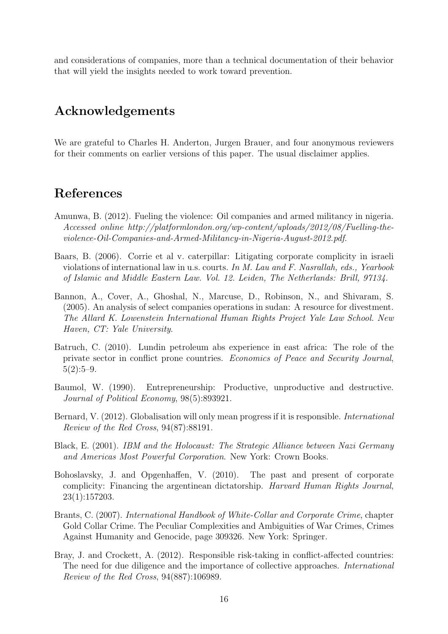and considerations of companies, more than a technical documentation of their behavior that will yield the insights needed to work toward prevention.

# Acknowledgements

We are grateful to Charles H. Anderton, Jurgen Brauer, and four anonymous reviewers for their comments on earlier versions of this paper. The usual disclaimer applies.

## References

- <span id="page-18-5"></span>Amunwa, B. (2012). Fueling the violence: Oil companies and armed militancy in nigeria. Accessed online http://platformlondon.org/wp-content/uploads/2012/08/Fuelling-theviolence-Oil-Companies-and-Armed-Militancy-in-Nigeria-August-2012.pdf.
- <span id="page-18-1"></span>Baars, B. (2006). Corrie et al v. caterpillar: Litigating corporate complicity in israeli violations of international law in u.s. courts. In M. Lau and F. Nasrallah, eds., Yearbook of Islamic and Middle Eastern Law. Vol. 12. Leiden, The Netherlands: Brill, 97134.
- <span id="page-18-7"></span>Bannon, A., Cover, A., Ghoshal, N., Marcuse, D., Robinson, N., and Shivaram, S. (2005). An analysis of select companies operations in sudan: A resource for divestment. The Allard K. Lowenstein International Human Rights Project Yale Law School. New Haven, CT: Yale University.
- <span id="page-18-8"></span>Batruch, C. (2010). Lundin petroleum abs experience in east africa: The role of the private sector in conflict prone countries. Economics of Peace and Security Journal,  $5(2):5-9.$
- <span id="page-18-6"></span>Baumol, W. (1990). Entrepreneurship: Productive, unproductive and destructive. Journal of Political Economy, 98(5):893921.
- <span id="page-18-2"></span>Bernard, V. (2012). Globalisation will only mean progress if it is responsible. International Review of the Red Cross, 94(87):88191.
- <span id="page-18-0"></span>Black, E. (2001). IBM and the Holocaust: The Strategic Alliance between Nazi Germany and Americas Most Powerful Corporation. New York: Crown Books.
- <span id="page-18-4"></span>Bohoslavsky, J. and Opgenhaffen, V. (2010). The past and present of corporate complicity: Financing the argentinean dictatorship. Harvard Human Rights Journal, 23(1):157203.
- <span id="page-18-9"></span>Brants, C. (2007). International Handbook of White-Collar and Corporate Crime, chapter Gold Collar Crime. The Peculiar Complexities and Ambiguities of War Crimes, Crimes Against Humanity and Genocide, page 309326. New York: Springer.
- <span id="page-18-3"></span>Bray, J. and Crockett, A. (2012). Responsible risk-taking in conflict-affected countries: The need for due diligence and the importance of collective approaches. *International* Review of the Red Cross, 94(887):106989.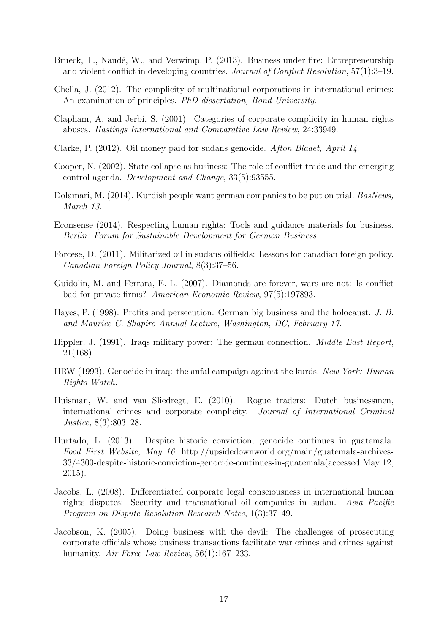- <span id="page-19-0"></span>Brueck, T., Naudé, W., and Verwimp, P. (2013). Business under fire: Entrepreneurship and violent conflict in developing countries. Journal of Conflict Resolution, 57(1):3–19.
- <span id="page-19-1"></span>Chella, J. (2012). The complicity of multinational corporations in international crimes: An examination of principles. PhD dissertation, Bond University.
- <span id="page-19-3"></span>Clapham, A. and Jerbi, S. (2001). Categories of corporate complicity in human rights abuses. Hastings International and Comparative Law Review, 24:33949.
- <span id="page-19-12"></span>Clarke, P. (2012). Oil money paid for sudans genocide. Afton Bladet, April 14.
- <span id="page-19-4"></span>Cooper, N. (2002). State collapse as business: The role of conflict trade and the emerging control agenda. Development and Change, 33(5):93555.
- <span id="page-19-11"></span>Dolamari, M. (2014). Kurdish people want german companies to be put on trial. BasNews, March 13.
- <span id="page-19-15"></span>Econsense (2014). Respecting human rights: Tools and guidance materials for business. Berlin: Forum for Sustainable Development for German Business.
- <span id="page-19-13"></span>Forcese, D. (2011). Militarized oil in sudans oilfields: Lessons for canadian foreign policy. Canadian Foreign Policy Journal, 8(3):37–56.
- <span id="page-19-8"></span>Guidolin, M. and Ferrara, E. L. (2007). Diamonds are forever, wars are not: Is conflict bad for private firms? American Economic Review, 97(5):197893.
- <span id="page-19-14"></span>Hayes, P. (1998). Profits and persecution: German big business and the holocaust. J. B. and Maurice C. Shapiro Annual Lecture, Washington, DC, February 17.
- <span id="page-19-10"></span>Hippler, J. (1991). Iraqs military power: The german connection. Middle East Report, 21(168).
- <span id="page-19-9"></span>HRW (1993). Genocide in iraq: the anfal campaign against the kurds. New York: Human Rights Watch.
- <span id="page-19-7"></span>Huisman, W. and van Sliedregt, E. (2010). Rogue traders: Dutch businessmen, international crimes and corporate complicity. Journal of International Criminal Justice, 8(3):803–28.
- <span id="page-19-5"></span>Hurtado, L. (2013). Despite historic conviction, genocide continues in guatemala. Food First Website, May 16, http://upsidedownworld.org/main/guatemala-archives-33/4300-despite-historic-conviction-genocide-continues-in-guatemala(accessed May 12, 2015).
- <span id="page-19-2"></span>Jacobs, L. (2008). Differentiated corporate legal consciousness in international human rights disputes: Security and transnational oil companies in sudan. Asia Pacific Program on Dispute Resolution Research Notes, 1(3):37–49.
- <span id="page-19-6"></span>Jacobson, K. (2005). Doing business with the devil: The challenges of prosecuting corporate officials whose business transactions facilitate war crimes and crimes against humanity. Air Force Law Review, 56(1):167–233.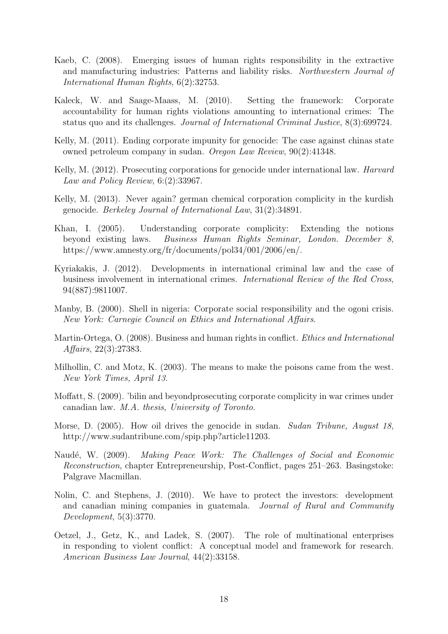- <span id="page-20-2"></span>Kaeb, C. (2008). Emerging issues of human rights responsibility in the extractive and manufacturing industries: Patterns and liability risks. Northwestern Journal of International Human Rights, 6(2):32753.
- <span id="page-20-1"></span>Kaleck, W. and Saage-Maass, M. (2010). Setting the framework: Corporate accountability for human rights violations amounting to international crimes: The status quo and its challenges. Journal of International Criminal Justice, 8(3):699724.
- <span id="page-20-11"></span>Kelly, M. (2011). Ending corporate impunity for genocide: The case against chinas state owned petroleum company in sudan. Oregon Law Review, 90(2):41348.
- <span id="page-20-0"></span>Kelly, M. (2012). Prosecuting corporations for genocide under international law. Harvard Law and Policy Review, 6:(2):33967.
- <span id="page-20-12"></span>Kelly, M. (2013). Never again? german chemical corporation complicity in the kurdish genocide. Berkeley Journal of International Law, 31(2):34891.
- <span id="page-20-10"></span>Khan, I. (2005). Understanding corporate complicity: Extending the notions beyond existing laws. Business Human Rights Seminar, London. December 8, https://www.amnesty.org/fr/documents/pol34/001/2006/en/.
- <span id="page-20-8"></span>Kyriakakis, J. (2012). Developments in international criminal law and the case of business involvement in international crimes. International Review of the Red Cross, 94(887):9811007.
- <span id="page-20-7"></span>Manby, B. (2000). Shell in nigeria: Corporate social responsibility and the ogoni crisis. New York: Carnegie Council on Ethics and International Affairs.
- <span id="page-20-9"></span>Martin-Ortega, O. (2008). Business and human rights in conflict. Ethics and International Affairs, 22(3):27383.
- <span id="page-20-13"></span>Milhollin, C. and Motz, K. (2003). The means to make the poisons came from the west. New York Times, April 13.
- <span id="page-20-5"></span>Moffatt, S. (2009). 'bilin and beyondprosecuting corporate complicity in war crimes under canadian law. M.A. thesis, University of Toronto.
- <span id="page-20-14"></span>Morse, D. (2005). How oil drives the genocide in sudan. Sudan Tribune, August 18, http://www.sudantribune.com/spip.php?article11203.
- <span id="page-20-3"></span>Naudé, W. (2009). Making Peace Work: The Challenges of Social and Economic Reconstruction, chapter Entrepreneurship, Post-Conflict, pages 251–263. Basingstoke: Palgrave Macmillan.
- <span id="page-20-4"></span>Nolin, C. and Stephens, J. (2010). We have to protect the investors: development and canadian mining companies in guatemala. Journal of Rural and Community Development, 5(3):3770.
- <span id="page-20-6"></span>Oetzel, J., Getz, K., and Ladek, S. (2007). The role of multinational enterprises in responding to violent conflict: A conceptual model and framework for research. American Business Law Journal, 44(2):33158.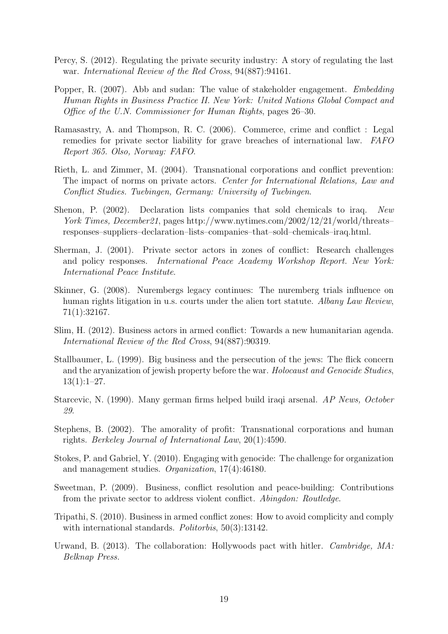- <span id="page-21-14"></span>Percy, S. (2012). Regulating the private security industry: A story of regulating the last war. International Review of the Red Cross, 94(887):94161.
- <span id="page-21-12"></span>Popper, R. (2007). Abb and sudan: The value of stakeholder engagement. *Embedding* Human Rights in Business Practice II. New York: United Nations Global Compact and Office of the U.N. Commissioner for Human Rights, pages 26–30.
- <span id="page-21-9"></span>Ramasastry, A. and Thompson, R. C. (2006). Commerce, crime and conflict : Legal remedies for private sector liability for grave breaches of international law. FAFO Report 365. Olso, Norway: FAFO.
- <span id="page-21-4"></span>Rieth, L. and Zimmer, M. (2004). Transnational corporations and conflict prevention: The impact of norms on private actors. Center for International Relations, Law and Conflict Studies. Tuebingen, Germany: University of Tuebingen.
- <span id="page-21-10"></span>Shenon, P. (2002). Declaration lists companies that sold chemicals to iraq. New York Times, December21, pages http://www.nytimes.com/2002/12/21/world/threats– responses–suppliers–declaration–lists–companies–that–sold–chemicals–iraq.html.
- <span id="page-21-6"></span>Sherman, J. (2001). Private sector actors in zones of conflict: Research challenges and policy responses. International Peace Academy Workshop Report. New York: International Peace Institute.
- <span id="page-21-7"></span>Skinner, G. (2008). Nurembergs legacy continues: The nuremberg trials influence on human rights litigation in u.s. courts under the alien tort statute. Albany Law Review, 71(1):32167.
- <span id="page-21-2"></span>Slim, H. (2012). Business actors in armed conflict: Towards a new humanitarian agenda. International Review of the Red Cross, 94(887):90319.
- <span id="page-21-13"></span>Stallbaumer, L. (1999). Big business and the persecution of the jews: The flick concern and the aryanization of jewish property before the war. Holocaust and Genocide Studies,  $13(1):1-27.$
- <span id="page-21-11"></span>Starcevic, N. (1990). Many german firms helped build iraqi arsenal. AP News, October 29.
- <span id="page-21-1"></span>Stephens, B. (2002). The amorality of profit: Transnational corporations and human rights. Berkeley Journal of International Law, 20(1):4590.
- <span id="page-21-0"></span>Stokes, P. and Gabriel, Y. (2010). Engaging with genocide: The challenge for organization and management studies. Organization, 17(4):46180.
- <span id="page-21-5"></span>Sweetman, P. (2009). Business, conflict resolution and peace-building: Contributions from the private sector to address violent conflict. Abingdon: Routledge.
- <span id="page-21-8"></span>Tripathi, S. (2010). Business in armed conflict zones: How to avoid complicity and comply with international standards. *Politorbis*, 50(3):13142.
- <span id="page-21-3"></span>Urwand, B. (2013). The collaboration: Hollywoods pact with hitler. Cambridge, MA: Belknap Press.